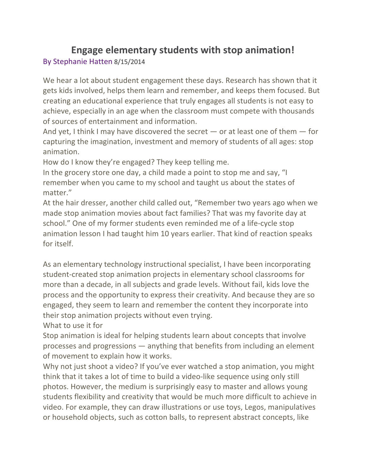# **Engage elementary students with stop animation!** By Stephanie Hatten 8/15/2014

We hear a lot about student engagement these days. Research has shown that it gets kids involved, helps them learn and remember, and keeps them focused. But creating an educational experience that truly engages all students is not easy to achieve, especially in an age when the classroom must compete with thousands of sources of entertainment and information.

And yet, I think I may have discovered the secret  $-$  or at least one of them  $-$  for capturing the imagination, investment and memory of students of all ages: stop animation.

How do I know they're engaged? They keep telling me.

In the grocery store one day, a child made a point to stop me and say, "I remember when you came to my school and taught us about the states of matter."

At the hair dresser, another child called out, "Remember two years ago when we made stop animation movies about fact families? That was my favorite day at school." One of my former students even reminded me of a life-cycle stop animation lesson I had taught him 10 years earlier. That kind of reaction speaks for itself.

As an elementary technology instructional specialist, I have been incorporating student-created stop animation projects in elementary school classrooms for more than a decade, in all subjects and grade levels. Without fail, kids love the process and the opportunity to express their creativity. And because they are so engaged, they seem to learn and remember the content they incorporate into their stop animation projects without even trying.

What to use it for

Stop animation is ideal for helping students learn about concepts that involve processes and progressions  $-$  anything that benefits from including an element of movement to explain how it works.

Why not just shoot a video? If you've ever watched a stop animation, you might think that it takes a lot of time to build a video-like sequence using only still photos. However, the medium is surprisingly easy to master and allows young students flexibility and creativity that would be much more difficult to achieve in video. For example, they can draw illustrations or use toys, Legos, manipulatives or household objects, such as cotton balls, to represent abstract concepts, like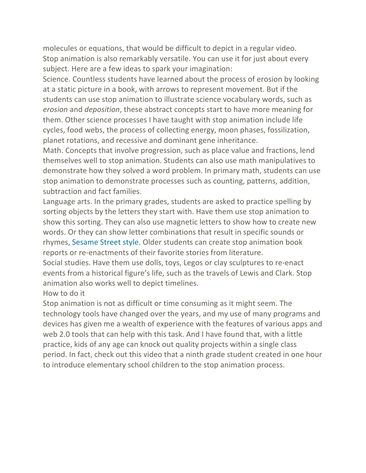molecules or equations, that would be difficult to depict in a regular video. Stop animation is also remarkably versatile. You can use it for just about every subject. Here are a few ideas to spark your imagination:

Science. Countless students have learned about the process of erosion by looking at a static picture in a book, with arrows to represent movement. But if the students can use stop animation to illustrate science vocabulary words, such as *erosion* and *deposition*, these abstract concepts start to have more meaning for them. Other science processes I have taught with stop animation include life cycles, food webs, the process of collecting energy, moon phases, fossilization, planet rotations, and recessive and dominant gene inheritance.

Math. Concepts that involve progression, such as place value and fractions, lend themselves well to stop animation. Students can also use math manipulatives to demonstrate how they solved a word problem. In primary math, students can use stop animation to demonstrate processes such as counting, patterns, addition, subtraction and fact families.

Language arts. In the primary grades, students are asked to practice spelling by sorting objects by the letters they start with. Have them use stop animation to show this sorting. They can also use magnetic letters to show how to create new words. Or they can show letter combinations that result in specific sounds or rhymes, Sesame Street style. Older students can create stop animation book reports or re-enactments of their favorite stories from literature.

Social studies. Have them use dolls, toys, Legos or clay sculptures to re-enact events from a historical figure's life, such as the travels of Lewis and Clark. Stop animation also works well to depict timelines.

How to do it

Stop animation is not as difficult or time consuming as it might seem. The technology tools have changed over the years, and my use of many programs and devices has given me a wealth of experience with the features of various apps and web 2.0 tools that can help with this task. And I have found that, with a little practice, kids of any age can knock out quality projects within a single class period. In fact, check out this video that a ninth grade student created in one hour to introduce elementary school children to the stop animation process.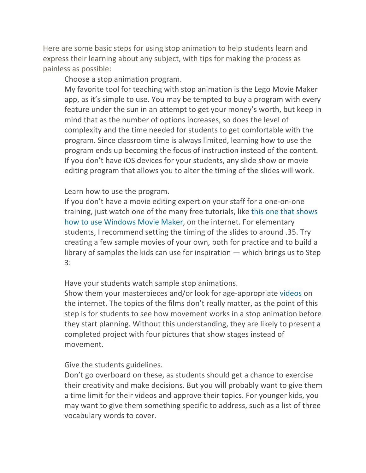Here are some basic steps for using stop animation to help students learn and express their learning about any subject, with tips for making the process as painless as possible:

Choose a stop animation program.

My favorite tool for teaching with stop animation is the Lego Movie Maker app, as it's simple to use. You may be tempted to buy a program with every feature under the sun in an attempt to get your money's worth, but keep in mind that as the number of options increases, so does the level of complexity and the time needed for students to get comfortable with the program. Since classroom time is always limited, learning how to use the program ends up becoming the focus of instruction instead of the content. If you don't have iOS devices for your students, any slide show or movie editing program that allows you to alter the timing of the slides will work.

#### Learn how to use the program.

If you don't have a movie editing expert on your staff for a one-on-one training, just watch one of the many free tutorials, like this one that shows how to use Windows Movie Maker, on the internet. For elementary students, I recommend setting the timing of the slides to around .35. Try creating a few sample movies of your own, both for practice and to build a library of samples the kids can use for inspiration  $-$  which brings us to Step 3: 

Have your students watch sample stop animations.

Show them your masterpieces and/or look for age-appropriate videos on the internet. The topics of the films don't really matter, as the point of this step is for students to see how movement works in a stop animation before they start planning. Without this understanding, they are likely to present a completed project with four pictures that show stages instead of movement. 

Give the students guidelines.

Don't go overboard on these, as students should get a chance to exercise their creativity and make decisions. But you will probably want to give them a time limit for their videos and approve their topics. For younger kids, you may want to give them something specific to address, such as a list of three vocabulary words to cover.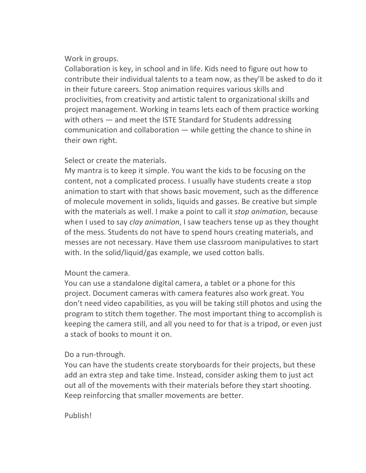## Work in groups.

Collaboration is key, in school and in life. Kids need to figure out how to contribute their individual talents to a team now, as they'll be asked to do it in their future careers. Stop animation requires various skills and proclivities, from creativity and artistic talent to organizational skills and project management. Working in teams lets each of them practice working with others  $-$  and meet the ISTE Standard for Students addressing communication and collaboration  $-$  while getting the chance to shine in their own right.

## Select or create the materials.

My mantra is to keep it simple. You want the kids to be focusing on the content, not a complicated process. I usually have students create a stop animation to start with that shows basic movement, such as the difference of molecule movement in solids, liquids and gasses. Be creative but simple with the materials as well. I make a point to call it *stop animation*, because when I used to say *clay animation*, I saw teachers tense up as they thought of the mess. Students do not have to spend hours creating materials, and messes are not necessary. Have them use classroom manipulatives to start with. In the solid/liquid/gas example, we used cotton balls.

## Mount the camera.

You can use a standalone digital camera, a tablet or a phone for this project. Document cameras with camera features also work great. You don't need video capabilities, as you will be taking still photos and using the program to stitch them together. The most important thing to accomplish is keeping the camera still, and all you need to for that is a tripod, or even just a stack of books to mount it on.

## Do a run-through.

You can have the students create storyboards for their projects, but these add an extra step and take time. Instead, consider asking them to just act out all of the movements with their materials before they start shooting. Keep reinforcing that smaller movements are better.

#### Publish!